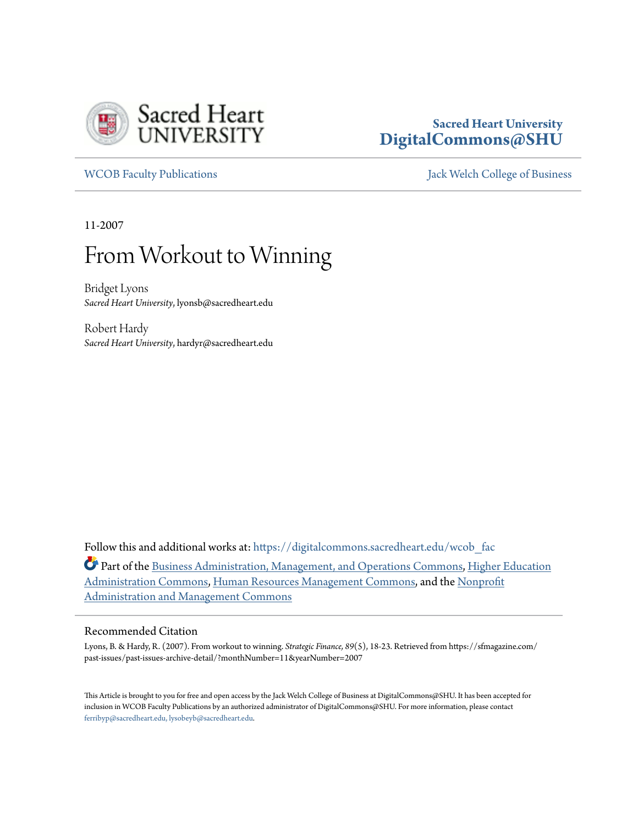

## **Sacred Heart University [DigitalCommons@SHU](https://digitalcommons.sacredheart.edu?utm_source=digitalcommons.sacredheart.edu%2Fwcob_fac%2F80&utm_medium=PDF&utm_campaign=PDFCoverPages)**

[WCOB Faculty Publications](https://digitalcommons.sacredheart.edu/wcob_fac?utm_source=digitalcommons.sacredheart.edu%2Fwcob_fac%2F80&utm_medium=PDF&utm_campaign=PDFCoverPages) [Jack Welch College of Business](https://digitalcommons.sacredheart.edu/wcob?utm_source=digitalcommons.sacredheart.edu%2Fwcob_fac%2F80&utm_medium=PDF&utm_campaign=PDFCoverPages)

11-2007

# From Workout to Winning

Bridget Lyons *Sacred Heart University*, lyonsb@sacredheart.edu

Robert Hardy *Sacred Heart University*, hardyr@sacredheart.edu

Follow this and additional works at: [https://digitalcommons.sacredheart.edu/wcob\\_fac](https://digitalcommons.sacredheart.edu/wcob_fac?utm_source=digitalcommons.sacredheart.edu%2Fwcob_fac%2F80&utm_medium=PDF&utm_campaign=PDFCoverPages)

Part of the [Business Administration, Management, and Operations Commons](http://network.bepress.com/hgg/discipline/623?utm_source=digitalcommons.sacredheart.edu%2Fwcob_fac%2F80&utm_medium=PDF&utm_campaign=PDFCoverPages), [Higher Education](http://network.bepress.com/hgg/discipline/791?utm_source=digitalcommons.sacredheart.edu%2Fwcob_fac%2F80&utm_medium=PDF&utm_campaign=PDFCoverPages) [Administration Commons,](http://network.bepress.com/hgg/discipline/791?utm_source=digitalcommons.sacredheart.edu%2Fwcob_fac%2F80&utm_medium=PDF&utm_campaign=PDFCoverPages) [Human Resources Management Commons,](http://network.bepress.com/hgg/discipline/633?utm_source=digitalcommons.sacredheart.edu%2Fwcob_fac%2F80&utm_medium=PDF&utm_campaign=PDFCoverPages) and the [Nonprofit](http://network.bepress.com/hgg/discipline/1228?utm_source=digitalcommons.sacredheart.edu%2Fwcob_fac%2F80&utm_medium=PDF&utm_campaign=PDFCoverPages) [Administration and Management Commons](http://network.bepress.com/hgg/discipline/1228?utm_source=digitalcommons.sacredheart.edu%2Fwcob_fac%2F80&utm_medium=PDF&utm_campaign=PDFCoverPages)

#### Recommended Citation

Lyons, B. & Hardy, R. (2007). From workout to winning. *Strategic Finance, 89*(5), 18-23. Retrieved from https://sfmagazine.com/ past-issues/past-issues-archive-detail/?monthNumber=11&yearNumber=2007

This Article is brought to you for free and open access by the Jack Welch College of Business at DigitalCommons@SHU. It has been accepted for inclusion in WCOB Faculty Publications by an authorized administrator of DigitalCommons@SHU. For more information, please contact [ferribyp@sacredheart.edu, lysobeyb@sacredheart.edu.](mailto:ferribyp@sacredheart.edu,%20lysobeyb@sacredheart.edu)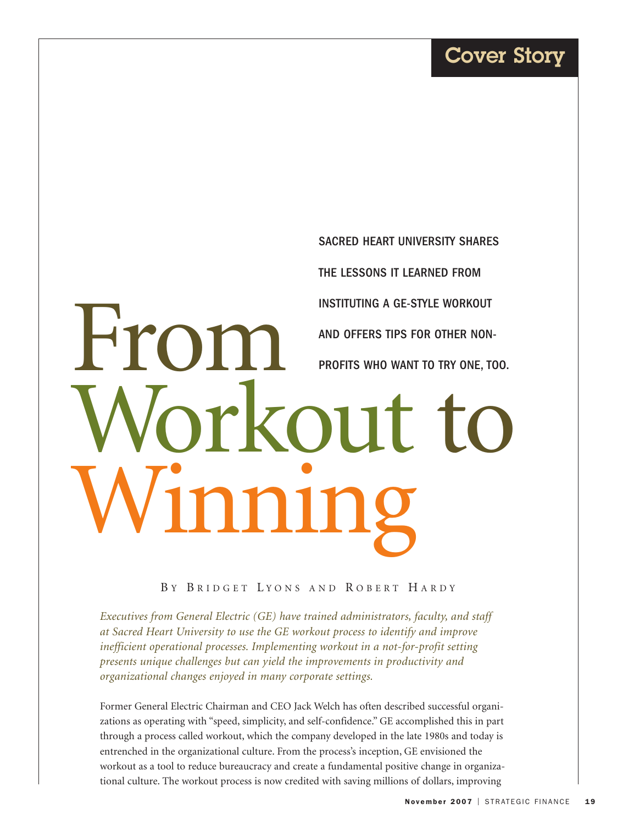# From Workout to Winning SACRED HEART UNIVERSITY SHARES THE LESSONS IT LEARNED FROM INSTITUTING A GE-STYLE WORKOUT AND OFFERS TIPS FOR OTHER NON-PROFITS WHO WANT TO TRY ONE, TOO.

BY BRIDGET LYONS AND ROBERT HARDY

*Executives from General Electric (GE) have trained administrators, faculty, and staff at Sacred Heart University to use the GE workout process to identify and improve inefficient operational processes. Implementing workout in a not-for-profit setting presents unique challenges but can yield the improvements in productivity and organizational changes enjoyed in many corporate settings.*

Former General Electric Chairman and CEO Jack Welch has often described successful organizations as operating with "speed, simplicity, and self-confidence." GE accomplished this in part through a process called workout, which the company developed in the late 1980s and today is entrenched in the organizational culture. From the process's inception, GE envisioned the workout as a tool to reduce bureaucracy and create a fundamental positive change in organizational culture. The workout process is now credited with saving millions of dollars, improving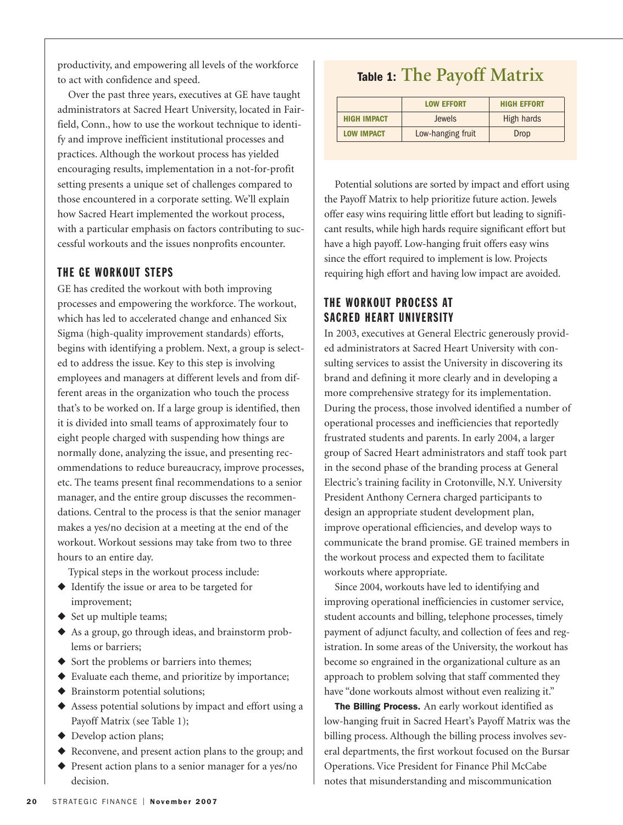productivity, and empowering all levels of the workforce to act with confidence and speed.

Over the past three years, executives at GE have taught administrators at Sacred Heart University, located in Fairfield, Conn., how to use the workout technique to identify and improve inefficient institutional processes and practices. Although the workout process has yielded encouraging results, implementation in a not-for-profit setting presents a unique set of challenges compared to those encountered in a corporate setting. We'll explain how Sacred Heart implemented the workout process, with a particular emphasis on factors contributing to successful workouts and the issues nonprofits encounter.

#### THE GE WORKOUT STEPS

GE has credited the workout with both improving processes and empowering the workforce. The workout, which has led to accelerated change and enhanced Six Sigma (high-quality improvement standards) efforts, begins with identifying a problem. Next, a group is selected to address the issue. Key to this step is involving employees and managers at different levels and from different areas in the organization who touch the process that's to be worked on. If a large group is identified, then it is divided into small teams of approximately four to eight people charged with suspending how things are normally done, analyzing the issue, and presenting recommendations to reduce bureaucracy, improve processes, etc. The teams present final recommendations to a senior manager, and the entire group discusses the recommendations. Central to the process is that the senior manager makes a yes/no decision at a meeting at the end of the workout. Workout sessions may take from two to three hours to an entire day.

Typical steps in the workout process include:

- ◆ Identify the issue or area to be targeted for improvement;
- ◆ Set up multiple teams;
- ◆ As a group, go through ideas, and brainstorm problems or barriers;
- ◆ Sort the problems or barriers into themes;
- ◆ Evaluate each theme, and prioritize by importance;
- ◆ Brainstorm potential solutions;
- ◆ Assess potential solutions by impact and effort using a Payoff Matrix (see Table 1);
- ◆ Develop action plans;
- ◆ Reconvene, and present action plans to the group; and
- ◆ Present action plans to a senior manager for a yes/no decision.

# **Table 1: The Payoff Matrix**

|                    | <b>LOW EFFORT</b> | <b>HIGH EFFORT</b> |
|--------------------|-------------------|--------------------|
| <b>HIGH IMPACT</b> | Jewels            | High hards         |
| <b>LOW IMPACT</b>  | Low-hanging fruit | Drop               |

Potential solutions are sorted by impact and effort using the Payoff Matrix to help prioritize future action. Jewels offer easy wins requiring little effort but leading to significant results, while high hards require significant effort but have a high payoff. Low-hanging fruit offers easy wins since the effort required to implement is low. Projects requiring high effort and having low impact are avoided.

## THE WORKOUT PROCESS AT SACRED HEART UNIVERSITY

In 2003, executives at General Electric generously provided administrators at Sacred Heart University with consulting services to assist the University in discovering its brand and defining it more clearly and in developing a more comprehensive strategy for its implementation. During the process, those involved identified a number of operational processes and inefficiencies that reportedly frustrated students and parents. In early 2004, a larger group of Sacred Heart administrators and staff took part in the second phase of the branding process at General Electric's training facility in Crotonville, N.Y. University President Anthony Cernera charged participants to design an appropriate student development plan, improve operational efficiencies, and develop ways to communicate the brand promise. GE trained members in the workout process and expected them to facilitate workouts where appropriate.

Since 2004, workouts have led to identifying and improving operational inefficiencies in customer service, student accounts and billing, telephone processes, timely payment of adjunct faculty, and collection of fees and registration. In some areas of the University, the workout has become so engrained in the organizational culture as an approach to problem solving that staff commented they have "done workouts almost without even realizing it."

**The Billing Process.** An early workout identified as low-hanging fruit in Sacred Heart's Payoff Matrix was the billing process. Although the billing process involves several departments, the first workout focused on the Bursar Operations. Vice President for Finance Phil McCabe notes that misunderstanding and miscommunication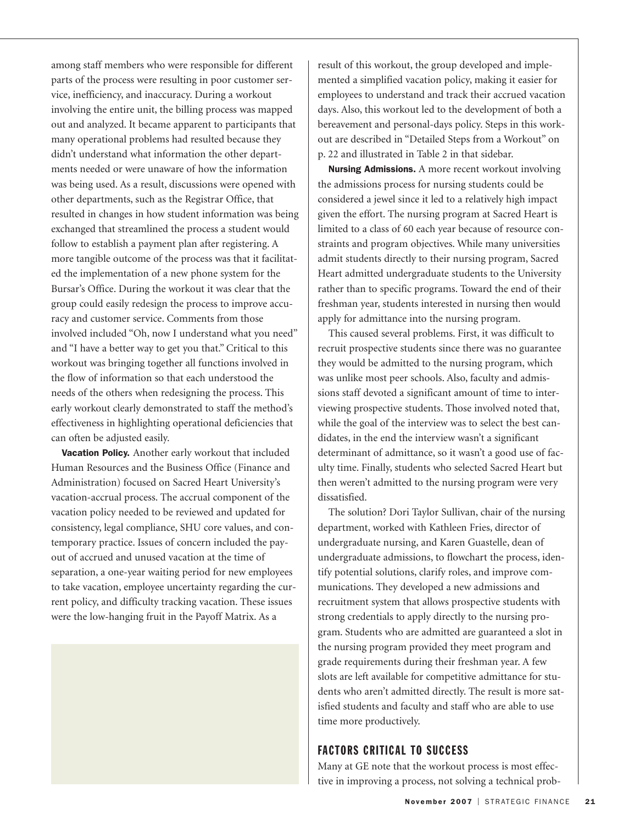among staff members who were responsible for different parts of the process were resulting in poor customer service, inefficiency, and inaccuracy. During a workout involving the entire unit, the billing process was mapped out and analyzed. It became apparent to participants that many operational problems had resulted because they didn't understand what information the other departments needed or were unaware of how the information was being used. As a result, discussions were opened with other departments, such as the Registrar Office, that resulted in changes in how student information was being exchanged that streamlined the process a student would follow to establish a payment plan after registering. A more tangible outcome of the process was that it facilitated the implementation of a new phone system for the Bursar's Office. During the workout it was clear that the group could easily redesign the process to improve accuracy and customer service. Comments from those involved included "Oh, now I understand what you need" and "I have a better way to get you that." Critical to this workout was bringing together all functions involved in the flow of information so that each understood the needs of the others when redesigning the process. This early workout clearly demonstrated to staff the method's effectiveness in highlighting operational deficiencies that can often be adjusted easily.

**Vacation Policy.** Another early workout that included Human Resources and the Business Office (Finance and Administration) focused on Sacred Heart University's vacation-accrual process. The accrual component of the vacation policy needed to be reviewed and updated for consistency, legal compliance, SHU core values, and contemporary practice. Issues of concern included the payout of accrued and unused vacation at the time of separation, a one-year waiting period for new employees to take vacation, employee uncertainty regarding the current policy, and difficulty tracking vacation. These issues were the low-hanging fruit in the Payoff Matrix. As a

result of this workout, the group developed and implemented a simplified vacation policy, making it easier for employees to understand and track their accrued vacation days. Also, this workout led to the development of both a bereavement and personal-days policy. Steps in this workout are described in "Detailed Steps from a Workout" on p. 22 and illustrated in Table 2 in that sidebar.

**Nursing Admissions.** A more recent workout involving the admissions process for nursing students could be considered a jewel since it led to a relatively high impact given the effort. The nursing program at Sacred Heart is limited to a class of 60 each year because of resource constraints and program objectives. While many universities admit students directly to their nursing program, Sacred Heart admitted undergraduate students to the University rather than to specific programs. Toward the end of their freshman year, students interested in nursing then would apply for admittance into the nursing program.

This caused several problems. First, it was difficult to recruit prospective students since there was no guarantee they would be admitted to the nursing program, which was unlike most peer schools. Also, faculty and admissions staff devoted a significant amount of time to interviewing prospective students. Those involved noted that, while the goal of the interview was to select the best candidates, in the end the interview wasn't a significant determinant of admittance, so it wasn't a good use of faculty time. Finally, students who selected Sacred Heart but then weren't admitted to the nursing program were very dissatisfied.

The solution? Dori Taylor Sullivan, chair of the nursing department, worked with Kathleen Fries, director of undergraduate nursing, and Karen Guastelle, dean of undergraduate admissions, to flowchart the process, identify potential solutions, clarify roles, and improve communications. They developed a new admissions and recruitment system that allows prospective students with strong credentials to apply directly to the nursing program. Students who are admitted are guaranteed a slot in the nursing program provided they meet program and grade requirements during their freshman year. A few slots are left available for competitive admittance for students who aren't admitted directly. The result is more satisfied students and faculty and staff who are able to use time more productively.

### FACTORS CRITICAL TO SUCCESS

Many at GE note that the workout process is most effective in improving a process, not solving a technical prob-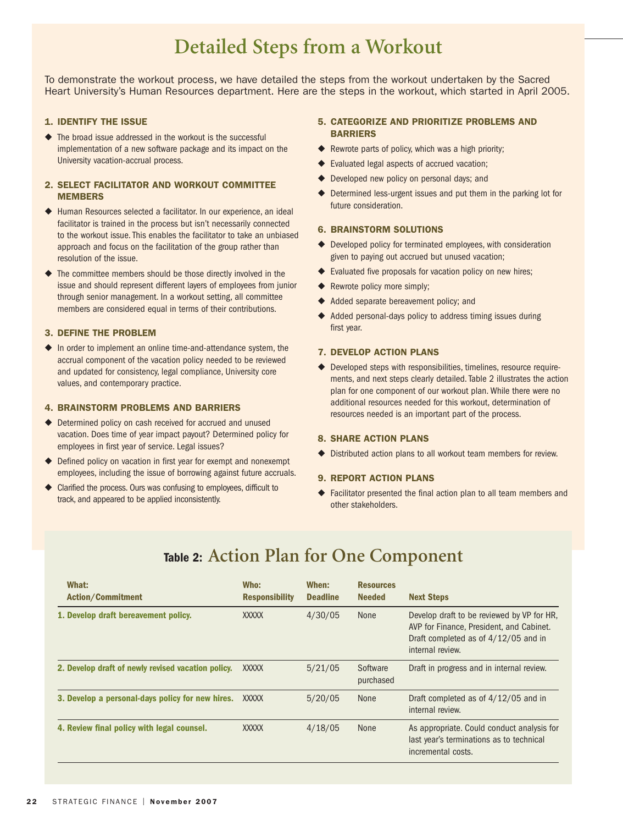# **Detailed Steps from a Workout**

To demonstrate the workout process, we have detailed the steps from the workout undertaken by the Sacred Heart University's Human Resources department. Here are the steps in the workout, which started in April 2005.

#### **1. IDENTIFY THE ISSUE**

◆ The broad issue addressed in the workout is the successful implementation of a new software package and its impact on the University vacation-accrual process.

#### **2. SELECT FACILITATOR AND WORKOUT COMMITTEE MEMBERS**

- ◆ Human Resources selected a facilitator. In our experience, an ideal facilitator is trained in the process but isn't necessarily connected to the workout issue. This enables the facilitator to take an unbiased approach and focus on the facilitation of the group rather than resolution of the issue.
- ◆ The committee members should be those directly involved in the issue and should represent different layers of employees from junior through senior management. In a workout setting, all committee members are considered equal in terms of their contributions.

#### **3. DEFINE THE PROBLEM**

◆ In order to implement an online time-and-attendance system, the accrual component of the vacation policy needed to be reviewed and updated for consistency, legal compliance, University core values, and contemporary practice.

#### **4. BRAINSTORM PROBLEMS AND BARRIERS**

- ◆ Determined policy on cash received for accrued and unused vacation. Does time of year impact payout? Determined policy for employees in first year of service. Legal issues?
- ◆ Defined policy on vacation in first year for exempt and nonexempt employees, including the issue of borrowing against future accruals.
- ◆ Clarified the process. Ours was confusing to employees, difficult to track, and appeared to be applied inconsistently.

#### **5. CATEGORIZE AND PRIORITIZE PROBLEMS AND BARRIERS**

- ◆ Rewrote parts of policy, which was a high priority;
- ◆ Evaluated legal aspects of accrued vacation;
- ◆ Developed new policy on personal days; and
- ◆ Determined less-urgent issues and put them in the parking lot for future consideration.

#### **6. BRAINSTORM SOLUTIONS**

- ◆ Developed policy for terminated employees, with consideration given to paying out accrued but unused vacation;
- ◆ Evaluated five proposals for vacation policy on new hires;
- ◆ Rewrote policy more simply;
- ◆ Added separate bereavement policy; and
- ◆ Added personal-days policy to address timing issues during first year.

#### **7. DEVELOP ACTION PLANS**

◆ Developed steps with responsibilities, timelines, resource requirements, and next steps clearly detailed. Table 2 illustrates the action plan for one component of our workout plan. While there were no additional resources needed for this workout, determination of resources needed is an important part of the process.

#### **8. SHARE ACTION PLANS**

◆ Distributed action plans to all workout team members for review.

#### **9. REPORT ACTION PLANS**

◆ Facilitator presented the final action plan to all team members and other stakeholders.

| What:<br><b>Action/Commitment</b>                  | Who:<br><b>Responsibility</b> | When:<br><b>Deadline</b> | <b>Resources</b><br><b>Needed</b> | <b>Next Steps</b>                                                                                                                                  |
|----------------------------------------------------|-------------------------------|--------------------------|-----------------------------------|----------------------------------------------------------------------------------------------------------------------------------------------------|
| 1. Develop draft bereavement policy.               | <b>XXXXX</b>                  | 4/30/05                  | <b>None</b>                       | Develop draft to be reviewed by VP for HR.<br>AVP for Finance, President, and Cabinet.<br>Draft completed as of 4/12/05 and in<br>internal review. |
| 2. Develop draft of newly revised vacation policy. | <b>XXXXX</b>                  | 5/21/05                  | Software<br>purchased             | Draft in progress and in internal review.                                                                                                          |
| 3. Develop a personal-days policy for new hires.   | XXXXX                         | 5/20/05                  | <b>None</b>                       | Draft completed as of 4/12/05 and in<br>internal review.                                                                                           |
| 4. Review final policy with legal counsel.         | <b>XXXXX</b>                  | 4/18/05                  | <b>None</b>                       | As appropriate. Could conduct analysis for<br>last year's terminations as to technical<br>incremental costs.                                       |
|                                                    |                               |                          |                                   |                                                                                                                                                    |

# **Table 2: Action Plan for One Component**

 $\overline{\phantom{0}}$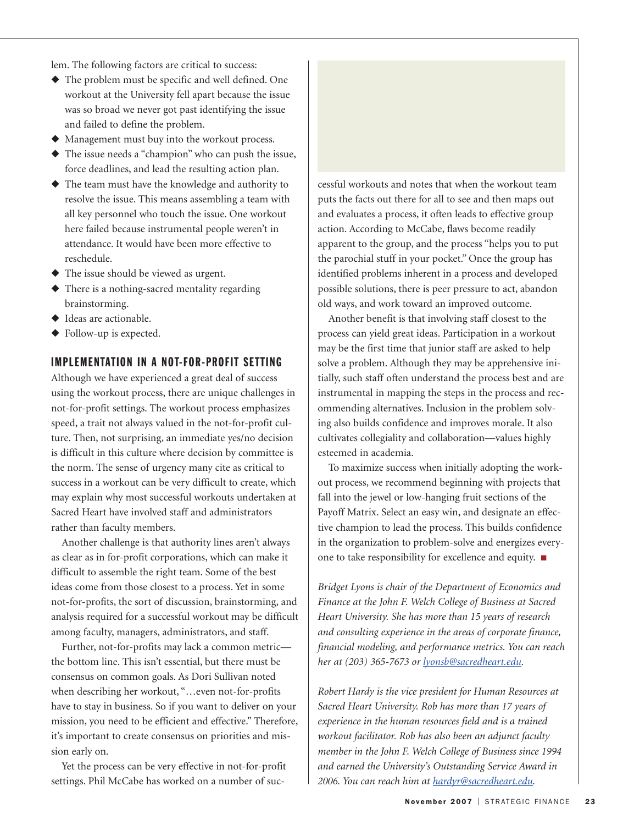lem. The following factors are critical to success:

- ◆ The problem must be specific and well defined. One workout at the University fell apart because the issue was so broad we never got past identifying the issue and failed to define the problem.
- ◆ Management must buy into the workout process.
- ◆ The issue needs a "champion" who can push the issue, force deadlines, and lead the resulting action plan.
- ◆ The team must have the knowledge and authority to resolve the issue. This means assembling a team with all key personnel who touch the issue. One workout here failed because instrumental people weren't in attendance. It would have been more effective to reschedule.
- ◆ The issue should be viewed as urgent.
- ◆ There is a nothing-sacred mentality regarding brainstorming.
- ◆ Ideas are actionable.
- ◆ Follow-up is expected.

## IMPLEMENTATION IN A NOT-FOR-PROFIT SETTING

Although we have experienced a great deal of success using the workout process, there are unique challenges in not-for-profit settings. The workout process emphasizes speed, a trait not always valued in the not-for-profit culture. Then, not surprising, an immediate yes/no decision is difficult in this culture where decision by committee is the norm. The sense of urgency many cite as critical to success in a workout can be very difficult to create, which may explain why most successful workouts undertaken at Sacred Heart have involved staff and administrators rather than faculty members.

Another challenge is that authority lines aren't always as clear as in for-profit corporations, which can make it difficult to assemble the right team. Some of the best ideas come from those closest to a process. Yet in some not-for-profits, the sort of discussion, brainstorming, and analysis required for a successful workout may be difficult among faculty, managers, administrators, and staff.

Further, not-for-profits may lack a common metric the bottom line. This isn't essential, but there must be consensus on common goals. As Dori Sullivan noted when describing her workout, "…even not-for-profits have to stay in business. So if you want to deliver on your mission, you need to be efficient and effective." Therefore, it's important to create consensus on priorities and mission early on.

Yet the process can be very effective in not-for-profit settings. Phil McCabe has worked on a number of successful workouts and notes that when the workout team puts the facts out there for all to see and then maps out and evaluates a process, it often leads to effective group action. According to McCabe, flaws become readily apparent to the group, and the process "helps you to put the parochial stuff in your pocket." Once the group has identified problems inherent in a process and developed possible solutions, there is peer pressure to act, abandon old ways, and work toward an improved outcome.

Another benefit is that involving staff closest to the process can yield great ideas. Participation in a workout may be the first time that junior staff are asked to help solve a problem. Although they may be apprehensive initially, such staff often understand the process best and are instrumental in mapping the steps in the process and recommending alternatives. Inclusion in the problem solving also builds confidence and improves morale. It also cultivates collegiality and collaboration—values highly esteemed in academia.

To maximize success when initially adopting the workout process, we recommend beginning with projects that fall into the jewel or low-hanging fruit sections of the Payoff Matrix. Select an easy win, and designate an effective champion to lead the process. This builds confidence in the organization to problem-solve and energizes everyone to take responsibility for excellence and equity. ■

*Bridget Lyons is chair of the Department of Economics and Finance at the John F. Welch College of Business at Sacred Heart University. She has more than 15 years of research and consulting experience in the areas of corporate finance, financial modeling, and performance metrics. You can reach her at (203) 365-7673 or lyonsb@sacredheart.edu.*

*Robert Hardy is the vice president for Human Resources at Sacred Heart University. Rob has more than 17 years of experience in the human resources field and is a trained workout facilitator. Rob has also been an adjunct faculty member in the John F. Welch College of Business since 1994 and earned the University's Outstanding Service Award in 2006. You can reach him at hardyr@sacredheart.edu.*